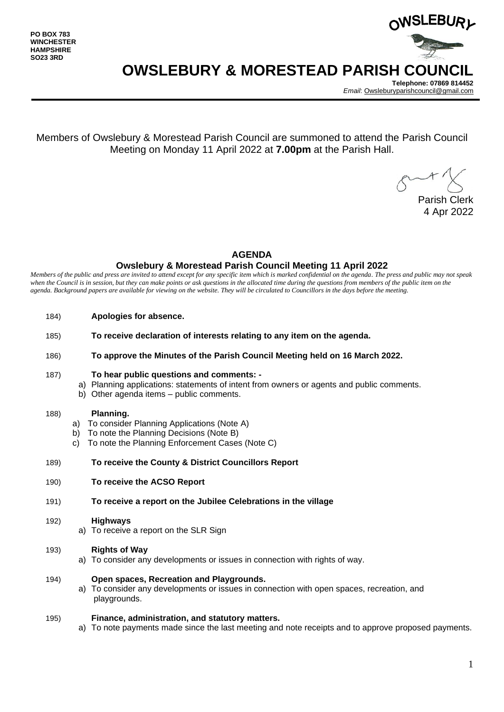

**Telephone: 07869 814452** *Email*[: Owsleburyparishcouncil@gmail.com](mailto:Owsleburyparishcouncil@gmail.com)

Members of Owslebury & Morestead Parish Council are summoned to attend the Parish Council Meeting on Monday 11 April 2022 at **7.00pm** at the Parish Hall.

Parish Clerk 4 Apr 2022

## **AGENDA**

### **Owslebury & Morestead Parish Council Meeting 11 April 2022**

*Members of the public and press are invited to attend except for any specific item which is marked confidential on the agenda. The press and public may not speak*  when the Council is in session, but they can make points or ask questions in the allocated time during the questions from members of the public item on the *agenda. Background papers are available for viewing on the website. They will be circulated to Councillors in the days before the meeting.* 

- 184) **Apologies for absence.**
- 185) **To receive declaration of interests relating to any item on the agenda.**
- 186) **To approve the Minutes of the Parish Council Meeting held on 16 March 2022.**

### 187) **To hear public questions and comments: -**

- a) Planning applications: statements of intent from owners or agents and public comments.
- b) Other agenda items public comments.

### 188) **Planning.**

- a) To consider Planning Applications (Note A)
- b) To note the Planning Decisions (Note B)
- c) To note the Planning Enforcement Cases (Note C)

### 189) **To receive the County & District Councillors Report**

190) **To receive the ACSO Report**

### 191) **To receive a report on the Jubilee Celebrations in the village**

### 192) **Highways**

a) To receive a report on the SLR Sign

### 193) **Rights of Way**

a) To consider any developments or issues in connection with rights of way.

### 194) **Open spaces, Recreation and Playgrounds.**

a) To consider any developments or issues in connection with open spaces, recreation, and playgrounds.

### 195) **Finance, administration, and statutory matters.**

a) To note payments made since the last meeting and note receipts and to approve proposed payments.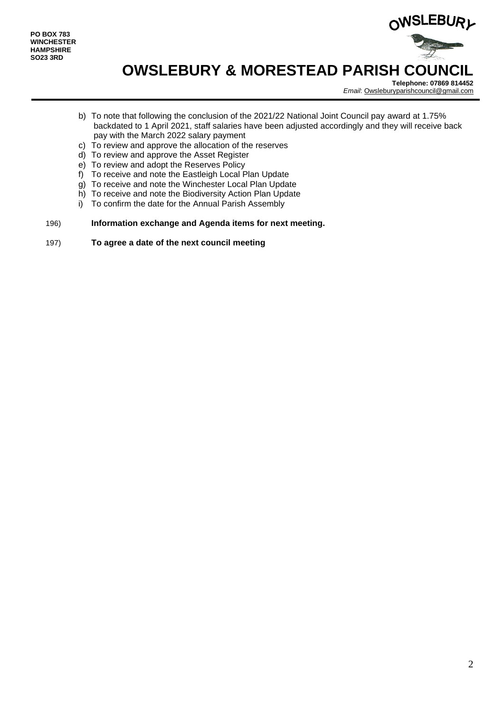

**Telephone: 07869 814452** *Email*[: Owsleburyparishcouncil@gmail.com](mailto:Owsleburyparishcouncil@gmail.com)

- b) To note that following the conclusion of the 2021/22 National Joint Council pay award at 1.75% backdated to 1 April 2021, staff salaries have been adjusted accordingly and they will receive back pay with the March 2022 salary payment
- c) To review and approve the allocation of the reserves
- d) To review and approve the Asset Register
- e) To review and adopt the Reserves Policy
- f) To receive and note the Eastleigh Local Plan Update
- g) To receive and note the Winchester Local Plan Update
- h) To receive and note the Biodiversity Action Plan Update
- i) To confirm the date for the Annual Parish Assembly
- 196) **Information exchange and Agenda items for next meeting.**
- 197) **To agree a date of the next council meeting**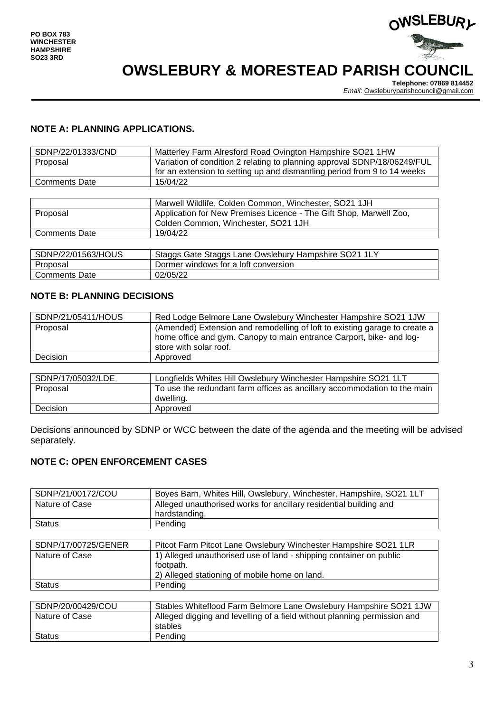

**Telephone: 07869 814452** *Email*[: Owsleburyparishcouncil@gmail.com](mailto:Owsleburyparishcouncil@gmail.com)

## **NOTE A: PLANNING APPLICATIONS.**

| SDNP/22/01333/CND    | Matterley Farm Alresford Road Ovington Hampshire SO21 1HW                                                                                            |
|----------------------|------------------------------------------------------------------------------------------------------------------------------------------------------|
| Proposal             | Variation of condition 2 relating to planning approval SDNP/18/06249/FUL<br>for an extension to setting up and dismantling period from 9 to 14 weeks |
| <b>Comments Date</b> | 15/04/22                                                                                                                                             |
|                      |                                                                                                                                                      |
|                      | Marwell Wildlife, Colden Common, Winchester, SO21 1JH                                                                                                |
| Proposal             | Application for New Premises Licence - The Gift Shop, Marwell Zoo,                                                                                   |
|                      | Colden Common, Winchester, SO21 1JH                                                                                                                  |
| <b>Comments Date</b> | 19/04/22                                                                                                                                             |

| SDNP/22/01563/HOUS | Staggs Gate Staggs Lane Owslebury Hampshire SO21 1LY |
|--------------------|------------------------------------------------------|
| Proposal           | Dormer windows for a loft conversion                 |
| Comments Date      | 02/05/22                                             |

## **NOTE B: PLANNING DECISIONS**

| SDNP/21/05411/HOUS | Red Lodge Belmore Lane Owslebury Winchester Hampshire SO21 1JW                                                                                                               |
|--------------------|------------------------------------------------------------------------------------------------------------------------------------------------------------------------------|
| Proposal           | (Amended) Extension and remodelling of loft to existing garage to create a<br>home office and gym. Canopy to main entrance Carport, bike- and log-<br>store with solar roof. |
| Decision           | Approved                                                                                                                                                                     |
| 0.0110147670001007 |                                                                                                                                                                              |

| SDNP/17/05032/LDE | Longfields Whites Hill Owslebury Winchester Hampshire SO21 1LT           |
|-------------------|--------------------------------------------------------------------------|
| Proposal          | To use the redundant farm offices as ancillary accommodation to the main |
|                   | dwelling.                                                                |
| <b>Decision</b>   | Approved                                                                 |

Decisions announced by SDNP or WCC between the date of the agenda and the meeting will be advised separately.

## **NOTE C: OPEN ENFORCEMENT CASES**

| SDNP/21/00172/COU   | Boyes Barn, Whites Hill, Owslebury, Winchester, Hampshire, SO21 1LT      |
|---------------------|--------------------------------------------------------------------------|
| Nature of Case      | Alleged unauthorised works for ancillary residential building and        |
|                     | hardstanding.                                                            |
| <b>Status</b>       | Pending                                                                  |
|                     |                                                                          |
| SDNP/17/00725/GENER | Pitcot Farm Pitcot Lane Owslebury Winchester Hampshire SO21 1LR          |
| Nature of Case      | 1) Alleged unauthorised use of land - shipping container on public       |
|                     | footpath.                                                                |
|                     | 2) Alleged stationing of mobile home on land.                            |
| <b>Status</b>       | Pendina                                                                  |
|                     |                                                                          |
| SDNP/20/00429/COU   | Stables Whiteflood Farm Belmore Lane Owslebury Hampshire SO21 1JW        |
| Nature of Case      | Alleged digging and levelling of a field without planning permission and |
|                     | stables                                                                  |
| <b>Status</b>       | Pending                                                                  |